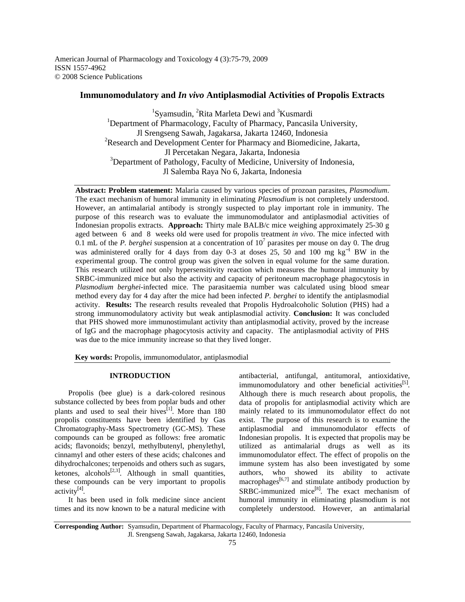American Journal of Pharmacology and Toxicology 4 (3):75-79, 2009 ISSN 1557-4962 © 2008 Science Publications

# **Immunomodulatory and** *In vivo* **Antiplasmodial Activities of Propolis Extracts**

<sup>1</sup>Syamsudin, <sup>2</sup>Rita Marleta Dewi and <sup>3</sup>Kusmardi <sup>1</sup>Department of Pharmacology, Faculty of Pharmacy, Pancasila University, Jl Srengseng Sawah, Jagakarsa, Jakarta 12460, Indonesia <sup>2</sup>Research and Development Center for Pharmacy and Biomedicine, Jakarta, Jl Percetakan Negara, Jakarta, Indonesia <sup>3</sup>Department of Pathology, Faculty of Medicine, University of Indonesia, Jl Salemba Raya No 6, Jakarta, Indonesia

**Abstract: Problem statement:** Malaria caused by various species of prozoan parasites, *Plasmodium*. The exact mechanism of humoral immunity in eliminating *Plasmodium* is not completely understood. However, an antimalarial antibody is strongly suspected to play important role in immunity. The purpose of this research was to evaluate the immunomodulator and antiplasmodial activities of Indonesian propolis extracts. **Approach:** Thirty male BALB/c mice weighing approximately 25-30 g aged between 6 and 8 weeks old were used for propolis treatment *in vivo*. The mice infected with  $0.1$  mL of the *P. berghei* suspension at a concentration of  $10<sup>7</sup>$  parasites per mouse on day 0. The drug was administered orally for 4 days from day 0-3 at doses 25, 50 and 100 mg kg<sup>-1</sup> BW in the experimental group. The control group was given the solven in equal volume for the same duration. This research utilized not only hypersensitivity reaction which measures the humoral immunity by SRBC-immunized mice but also the activity and capacity of peritoneum macrophage phagocytosis in *Plasmodium berghei*-infected mice. The parasitaemia number was calculated using blood smear method every day for 4 day after the mice had been infected *P. berghei* to identify the antiplasmodial activity. **Results:** The research results revealed that Propolis Hydroalcoholic Solution (PHS) had a strong immunomodulatory activity but weak antiplasmodial activity. **Conclusion:** It was concluded that PHS showed more immunostimulant activity than antiplasmodial activity, proved by the increase of IgG and the macrophage phagocytosis activity and capacity. The antiplasmodial activity of PHS was due to the mice immunity increase so that they lived longer.

**Key words:** Propolis, immunomodulator, antiplasmodial

# **INTRODUCTION**

 Propolis (bee glue) is a dark-colored resinous substance collected by bees from poplar buds and other plants and used to seal their hives<sup>[1]</sup>. More than 180 propolis constituents have been identified by Gas Chromatography-Mass Spectrometry (GC-MS). These compounds can be grouped as follows: free aromatic acids; flavonoids; benzyl, methylbutenyl, phenylethyl, cinnamyl and other esters of these acids; chalcones and dihydrochalcones; terpenoids and others such as sugars, ketones, alcohols $^{[2,3]}$ . Although in small quantities, these compounds can be very important to propolis activity<sup>[4]</sup>.

 It has been used in folk medicine since ancient times and its now known to be a natural medicine with

antibacterial, antifungal, antitumoral, antioxidative, immunomodulatory and other beneficial activities<sup>[5]</sup>. Although there is much research about propolis, the data of propolis for antiplasmodial activity which are mainly related to its immunomodulator effect do not exist. The purpose of this research is to examine the antiplasmodial and immunomodulator effects of Indonesian propolis. It is expected that propolis may be utilized as antimalarial drugs as well as its immunomodulator effect. The effect of propolis on the immune system has also been investigated by some authors, who showed its ability to activate macrophages $[6,7]$  and stimulate antibody production by  $SRBC$ -immunized mice<sup>[8]</sup>. The exact mechanism of humoral immunity in eliminating plasmodium is not completely understood. However, an antimalarial

**Corresponding Author:** Syamsudin, Department of Pharmacology, Faculty of Pharmacy, Pancasila University, Jl. Srengseng Sawah, Jagakarsa, Jakarta 12460, Indonesia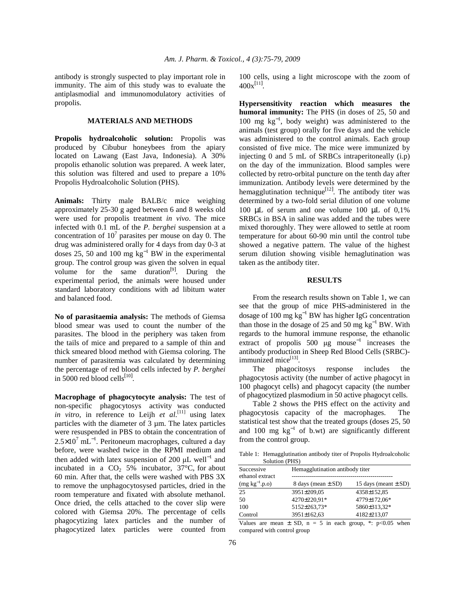antibody is strongly suspected to play important role in immunity. The aim of this study was to evaluate the antiplasmodial and immunomodulatory activities of propolis.

## **MATERIALS AND METHODS**

**Propolis hydroalcoholic solution:** Propolis was produced by Cibubur honeybees from the apiary located on Lawang (East Java, Indonesia). A 30% propolis ethanolic solution was prepared. A week later, this solution was filtered and used to prepare a 10% Propolis Hydroalcoholic Solution (PHS).

**Animals:** Thirty male BALB/c mice weighing approximately 25-30 g aged between 6 and 8 weeks old were used for propolis treatment *in vivo*. The mice infected with 0.1 mL of the *P. berghei* suspension at a concentration of  $10<sup>7</sup>$  parasites per mouse on day 0. The drug was administered orally for 4 days from day 0-3 at doses 25, 50 and 100 mg  $kg^{-1}$  BW in the experimental group. The control group was given the solven in equal volume for the same duration<sup>[9]</sup>. During the experimental period, the animals were housed under standard laboratory conditions with ad libitum water and balanced food.

**No of parasitaemia analysis:** The methods of Giemsa blood smear was used to count the number of the parasites. The blood in the periphery was taken from the tails of mice and prepared to a sample of thin and thick smeared blood method with Giemsa coloring. The number of parasitemia was calculated by determining the percentage of red blood cells infected by *P. berghei* in 5000 red blood cells $^{[10]}$ .

**Macrophage of phagocytocyte analysis:** The test of non-specific phagocytosys activity was conducted *in vitro*, in reference to Leijh *et al.*<sup>[11]</sup> using latex particles with the diameter of 3 µm. The latex particles were resuspended in PBS to obtain the concentration of  $2.5 \times 10^7$  mL<sup>-1</sup>. Peritoneum macrophages, cultured a day before, were washed twice in the RPMI medium and then added with latex suspension of 200  $\mu$ L well<sup>-1</sup> and incubated in a  $CO<sub>2</sub> 5%$  incubator, 37°C, for about 60 min. After that, the cells were washed with PBS 3X to remove the unphagocytosysed particles, dried in the room temperature and fixated with absolute methanol. Once dried, the cells attached to the cover slip were colored with Giemsa 20%. The percentage of cells phagocytizing latex particles and the number of phagocytized latex particles were counted from

100 cells, using a light microscope with the zoom of  $400x^{[11]}$ .

**Hypersensitivity reaction which measures the humoral immunity:** The PHS (in doses of 25, 50 and 100 mg kg<sup>−</sup><sup>1</sup> , body weight) was administered to the animals (test group) orally for five days and the vehicle was administered to the control animals. Each group consisted of five mice. The mice were immunized by injecting 0 and 5 mL of SRBCs intraperitoneally (i.p) on the day of the immunization. Blood samples were collected by retro-orbital puncture on the tenth day after immunization. Antibody levels were determined by the hemagglutination technique<sup>[12]</sup>. The antibody titer was determined by a two-fold serial dilution of one volume 100 µL of serum and one volume 100 µL of 0,1% SRBCs in BSA in saline was added and the tubes were mixed thoroughly. They were allowed to settle at room temperature for about 60-90 min until the control tube showed a negative pattern. The value of the highest serum dilution showing visible hemaglutination was taken as the antibody titer.

## **RESULTS**

 From the research results shown on Table 1, we can see that the group of mice PHS-administered in the dosage of 100 mg  $kg^{-1}$  BW has higher IgG concentration than those in the dosage of 25 and 50 mg  $kg^{-1}$  BW. With regards to the humoral immune response, the ethanolic extract of propolis 500  $\mu$ g mouse<sup>-1</sup> increases the antibody production in Sheep Red Blood Cells (SRBC) immunized mice<sup>[13]</sup>.

 The phagocitosys response includes the phagocytosis activity (the number of active phagocyt in 100 phagocyt cells) and phagocyt capacity (the number of phagocytized plasmodium in 50 active phagocyt cells.

 Table 2 shows the PHS effect on the activity and phagocytosis capacity of the macrophages. The statistical test show that the treated groups (doses 25, 50 and 100 mg  $kg^{-1}$  of b.wt) are significantly different from the control group.

Table 1: Hemagglutination antibody titer of Propolis Hydroalcoholic Solution (PHS)

| $00100001$ (1.110)            |                                 |                          |  |
|-------------------------------|---------------------------------|--------------------------|--|
| Successive<br>ethanol extract | Hemagglutination antibody titer |                          |  |
| $(mg kg^{-1}.p.o)$            | 8 days (mean $\pm$ SD)          | 15 days (meant $\pm$ SD) |  |
| 25                            | 3951±209,05                     | 4358±152,85              |  |
| 50                            | 4270±220.91*                    | 4779±172,06*             |  |
| 100                           | 5152±263,73*                    | 5860±313,32*             |  |
| Control                       | 3951±162,63                     | 4182±213,07              |  |
|                               |                                 |                          |  |

Values are mean  $\pm$  SD, n = 5 in each group, \*: p<0.05 when compared with control group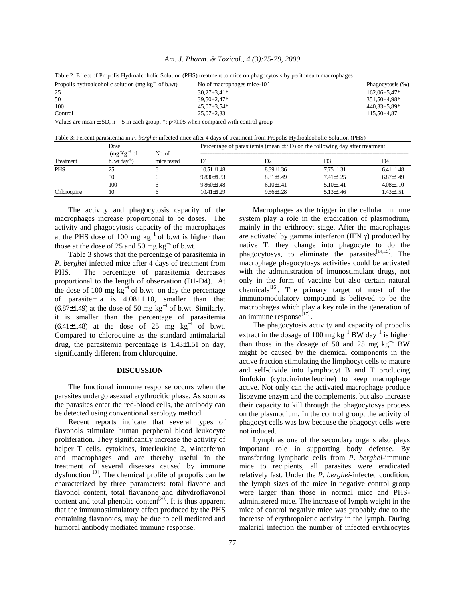| Am. J. Pharm. & Toxicol., 4 (3):75-79, 2009 |  |  |  |
|---------------------------------------------|--|--|--|
|---------------------------------------------|--|--|--|

|                                                                                           | Table 2. Effect of Fropons Frydroatcoholic Solution (FFIS) treatment to fince on phagoeviosis by perficileum macrophages |                    |
|-------------------------------------------------------------------------------------------|--------------------------------------------------------------------------------------------------------------------------|--------------------|
| Propolis hydroalcoholic solution (mg $kg^{-1}$ of b.wt)                                   | No of macrophages mice- $10^{\circ}$                                                                                     | Phagocytosis (%)   |
| 25                                                                                        | $30.27 \pm 3.41*$                                                                                                        | $162.06 \pm 5.47*$ |
| 50                                                                                        | $39.50 \pm 2.47*$                                                                                                        | 351,50±4,98*       |
| 100                                                                                       | $45.07 \pm 3.54*$                                                                                                        | $440.33 \pm 5.89*$ |
| Control                                                                                   | $25.07 \pm 2.33$                                                                                                         | $115.50\pm4.87$    |
| Values are mean $\pm$ SD, n = 5 in each group, *: p<0.05 when compared with control group |                                                                                                                          |                    |

Table 2: Effect of Propolis Hydroalcoholic Solution (PHS) treatment to mice on phagocytosis by peritoneum macrophages

Table 3: Percent parasitemia in *P. berghei* infected mice after 4 days of treatment from Propolis Hydroalcoholic Solution (PHS)

|             | Dose                                                              |                       | Percentage of parasitemia (mean $\pm$ SD) on the following day after treatment |                 |                 |                 |
|-------------|-------------------------------------------------------------------|-----------------------|--------------------------------------------------------------------------------|-----------------|-----------------|-----------------|
| Treatment   | $\left(\text{mg Kg}^{-1}\text{ of }\right)$<br>b. wt $dav^{-1}$ ) | No. of<br>mice tested | D1                                                                             | D <sub>2</sub>  | D3              | D4              |
| <b>PHS</b>  | 25                                                                |                       | $10.51 \pm 1.48$                                                               | $8.39 \pm 1.36$ | $7.75 \pm 1.31$ | $6.41 \pm 1.48$ |
|             | 50                                                                |                       | $9.830 \pm 1.33$                                                               | $8.31 \pm 1.49$ | $7.41 \pm 1.25$ | $6.87 \pm 1.49$ |
|             | 100                                                               |                       | $9.860 \pm 1.48$                                                               | $6.10 \pm 1.41$ | $5.10 \pm 1.41$ | $4.08 \pm 1.10$ |
| Chloroquine | 10                                                                |                       | $10.41 \pm 1.29$                                                               | $9.56 \pm 1.28$ | $5.13 \pm 1.46$ | 1.43±1.51       |

 The activity and phagocytosis capacity of the macrophages increase proportional to be doses. The activity and phagocytosis capacity of the macrophages at the PHS dose of 100 mg  $kg^{-1}$  of b.wt is higher than those at the dose of 25 and 50 mg  $kg^{-1}$  of b.wt.

 Table 3 shows that the percentage of parasitemia in *P. berghei* infected mice after 4 days of treatment from PHS. The percentage of parasitemia decreases proportional to the length of observation (D1-D4). At the dose of 100 mg kg<sup>-1</sup> of b.wt on day the percentage of parasitemia is 4.08±1.10, smaller than that  $(6.87\pm1.49)$  at the dose of 50 mg kg<sup>-1</sup> of b.wt. Similarly, it is smaller than the percentage of parasitemia  $(6.41\pm1.48)$  at the dose of 25 mg kg<sup>-1</sup> of b.wt. Compared to chloroquine as the standard antimalarial drug, the parasitemia percentage is 1.43±1.51 on day, significantly different from chloroquine.

#### **DISCUSSION**

 The functional immune response occurs when the parasites undergo asexual erythrocitic phase. As soon as the parasites enter the red-blood cells, the antibody can be detected using conventional serology method.

 Recent reports indicate that several types of flavonols stimulate human perpheral blood leukocyte proliferation. They significantly increase the activity of helper T cells, cytokines, interleukine 2, γ-interferon and macrophages and are thereby useful in the treatment of several diseases caused by immune dysfunction<sup>[19]</sup>. The chemical profile of propolis can be characterized by three parameters: total flavone and flavonol content, total flavanone and dihydroflavonol content and total phenolic content<sup>[20]</sup>. It is thus apparent that the immunostimulatory effect produced by the PHS containing flavonoids, may be due to cell mediated and humoral antibody mediated immune response.

Macrophages as the trigger in the cellular immune system play a role in the eradication of plasmodium, mainly in the erithrocyt stage. After the macrophages are activated by gamma interferon (IFN  $\gamma$ ) produced by native T, they change into phagocyte to do the phagocytosys, to eliminate the parasites $[14,15]$ . The macrophage phagocytosys activities could be activated with the administration of imunostimulant drugs, not only in the form of vaccine but also certain natural chemicals<sup>[16]</sup>. The primary target of most of the immunomodulatory compound is believed to be the macrophages which play a key role in the generation of an immune response<sup>[17]</sup>.

 The phagocytosis activity and capacity of propolis extract in the dosage of 100 mg  $kg^{-1}$  BW day<sup>-1</sup> is higher than those in the dosage of 50 and 25 mg  $kg^{-1}$  BW might be caused by the chemical components in the active fraction stimulating the limphocyt cells to mature and self-divide into lymphocyt B and T producing limfokin (cytocin/interleucine) to keep macrophage active. Not only can the activated macrophage produce lisozyme enzym and the complements, but also increase their capacity to kill through the phagocytosys process on the plasmodium. In the control group, the activity of phagocyt cells was low because the phagocyt cells were not induced.

 Lymph as one of the secondary organs also plays important role in supporting body defense. By transferring lymphatic cells from *P*. *berghei-*immune mice to recipients, all parasites were eradicated relatively fast. Under the *P*. *berghei-*infected condition, the lymph sizes of the mice in negative control group were larger than those in normal mice and PHSadministered mice. The increase of lymph weight in the mice of control negative mice was probably due to the increase of erythropoietic activity in the lymph. During malarial infection the number of infected erythrocytes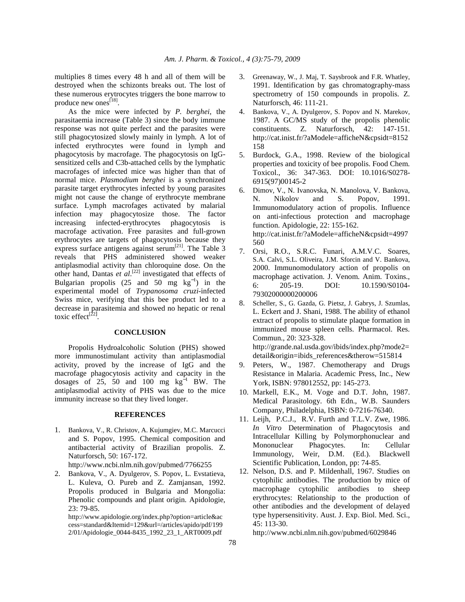multiplies 8 times every 48 h and all of them will be destroyed when the schizonts breaks out. The lost of these numerous erytrocytes triggers the bone marrow to produce new ones<sup>[18]</sup>.

 As the mice were infected by *P. berghei*, the parasitaemia increase (Table 3) since the body immune response was not quite perfect and the parasites were still phagocytosized slowly mainly in lymph. A lot of infected erythrocytes were found in lymph and phagocytosis by macrofage. The phagocytosis on IgGsensitized cells and C3b-attached cells by the lymphatic macrofages of infected mice was higher than that of normal mice. *Plasmodium berghei* is a synchronized parasite target erythrocytes infected by young parasites might not cause the change of erythrocyte membrane surface. Lymph macrofages activated by malarial infection may phagocytosize those. The factor increasing infected-erythrocytes phagocytosis is macrofage activation. Free parasites and full-grown erythrocytes are targets of phagocytosis because they express surface antigens against serum<sup>[21]</sup>. The Table  $\overline{3}$ reveals that PHS administered showed weaker antiplasmodial activity than chloroquine dose. On the other hand, Dantas *et al.*<sup>[22]</sup> investigated that effects of Bulgarian propolis (25 and  $50$  mg  $\text{kg}^{-1}$ ) in the experimental model of *Trypanosoma cruzi*-infected Swiss mice, verifying that this bee product led to a decrease in parasitemia and showed no hepatic or renal toxic effect<sup>[22]</sup>.

### **CONCLUSION**

 Propolis Hydroalcoholic Solution (PHS) showed more immunostimulant activity than antiplasmodial activity, proved by the increase of IgG and the macrofage phagocytosis activity and capacity in the dosages of 25, 50 and 100 mg  $kg^{-1}$  BW. The antiplasmodial activity of PHS was due to the mice immunity increase so that they lived longer.

### **REFERENCES**

1. Bankova, V., R. Christov, A. Kujumgiev, M.C. Marcucci and S. Popov, 1995. Chemical composition and antibacterial activity of Brazilian propolis. Z. Naturforsch, 50: 167-172.

http://www.ncbi.nlm.nih.gov/pubmed/7766255

2. Bankova, V., A. Dyulgerov, S. Popov, L. Evstatieva, L. Kuleva, O. Pureb and Z. Zamjansan, 1992. Propolis produced in Bulgaria and Mongolia: Phenolic compounds and plant origin. Apidologie, 23: 79-85.

http://www.apidologie.org/index.php?option=article&ac cess=standard&Itemid=129&url=/articles/apido/pdf/199 2/01/Apidologie\_0044-8435\_1992\_23\_1\_ART0009.pdf

- 3. Greenaway, W., J. Maj, T. Saysbrook and F.R. Whatley, 1991. Identification by gas chromatography-mass spectrometry of 150 compounds in propolis. Z. Naturforsch, 46: 111-21.
- 4. Bankova, V., A. Dyulgerov, S. Popov and N. Marekov, 1987. A GC/MS study of the propolis phenolic constituents. Z. Naturforsch, 42: 147-151. http://cat.inist.fr/?aModele=afficheN&cpsidt=8152 158
- 5. Burdock, G.A., 1998. Review of the biological properties and toxicity of bee propolis. Food Chem. Toxicol., 36: 347-363. DOI: 10.1016/S0278- 6915(97)00145-2
- 6. Dimov, V., N. Ivanovska, N. Manolova, V. Bankova, N. Nikolov and S. Popov, 1991. Immunomodulatory action of propolis. Influence on anti-infectious protection and macrophage function. Apidologie, 22: 155-162. http://cat.inist.fr/?aModele=afficheN&cpsidt=4997 560
- 7. Orsi, R.O., S.R.C. Funari, A.M.V.C. Soares, S.A. Calvi, S.L. Oliveira, J.M. Sforcin and V. Bankova, 2000. Immunomodulatory action of propolis on macrophage activation. J. Venom. Anim. Toxins., 6: 205-19. DOI: 10.1590/S0104- 79302000000200006
- 8. Scheller, S., G. Gazda, G. Pietsz, J. Gabrys, J. Szumlas, L. Eckert and J. Shani, 1988. The ability of ethanol extract of propolis to stimulate plaque formation in immunized mouse spleen cells. Pharmacol. Res. Commun., 20: 323-328. http://grande.nal.usda.gov/ibids/index.php?mode2=

detail&origin=ibids\_references&therow=515814

- 9. Peters, W., 1987. Chemotherapy and Drugs Resistance in Malaria. Academic Press, Inc., New York, ISBN: 978012552, pp: 145-273.
- 10. Markell, E.K., M. Voge and D.T. John, 1987. Medical Parasitology. 6th Edn., W.B. Saunders Company, Philadelphia, ISBN: 0-7216-76340.
- 11. Leijh, P.C.J., R.V. Furth and T.L.V. Zwe, 1986. *In Vitro* Determination of Phagocytosis and Intracellular Killing by Polymorphonuclear and Mononuclear Phagocytes. In: Cellular Immunology, Weir, D.M. (Ed.). Blackwell Scientific Publication, London, pp: 74-85.
- 12. Nelson, D.S. and P. Mildenhall, 1967. Studies on cytophilic antibodies. The production by mice of macrophage cytophilic antibodies to sheep erythrocytes: Relationship to the production of other antibodies and the development of delayed type hypersensitivity. Aust. J. Exp. Biol. Med. Sci., 45: 113-30.

http://www.ncbi.nlm.nih.gov/pubmed/6029846